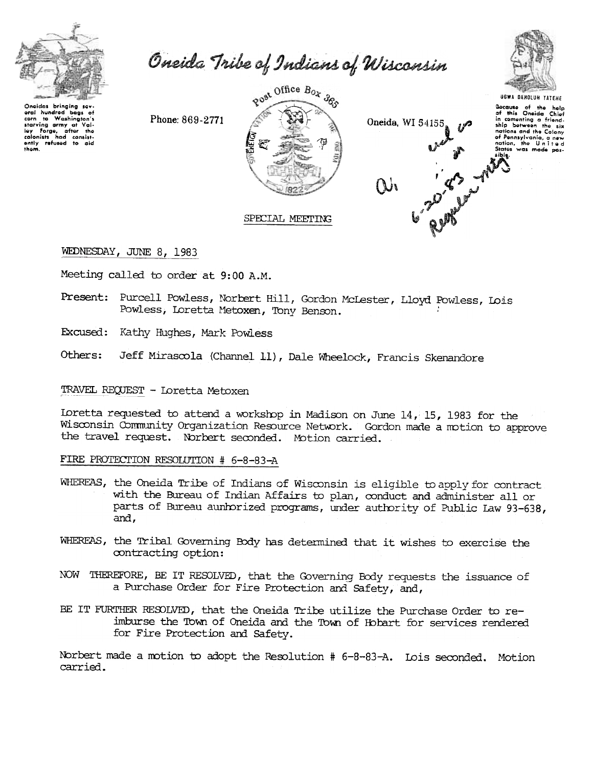

Oneida Tribe of Indians of Wisconsin



Phone: 869-2771



Oneida, WI 54155

Reported 1



WEDNESDAY, JUNE 8, 1983

Meeting called to order at 9:00 A.M.

Present: Purcell Powless, Norbert Hill, Gordon McLester, Lloyd Powless, Lois Powless, Loretta Metoxen, Tony Benson.

SPECIAL MEETING

Excused: Kathy Hughes, Mark Powless

Others: Jeff Mirascola (Channel 11), Dale Wheelock, Francis Skenandore

## TRAVEL REQUEST - Loretta Metoxen

Loretta requested to attend a workshop in Madison on June 14, 15, 1983 for the Wisconsin Community Organization Resource Network. Gordon made a motion to approve the travel request. Norbert seconded. Motion carried.

## FIRE PROTECTION RESOLUTION # 6-8-83-A

- WHEREAS, the Oneida Tribe of Indians of Wisconsin is eligible to apply for contract with the Bureau of Indian Affairs to plan, conduct and administer all or parts of Bureau aunhorized programs, under authority of Public Law 93-638, and,
- WHEREAS, the Tribal Governing Body has determined that it wishes to exercise the contracting option:
- NOW THEREFORE, BE IT RESOLVED, that the Governing Body requests the issuance of a Purchase Order for Fire Protection and Safety, and,
- BE IT FURTHER RESOLVED, that the Oneida Tribe utilize the Purchase Order to reimburse the Town of Oneida and the Town of Hobart for services rendered for Fire Protection and Safety.

Norbert made a motion to adopt the Resolution # 6-8-83-A. Lois seconded. Motion carried.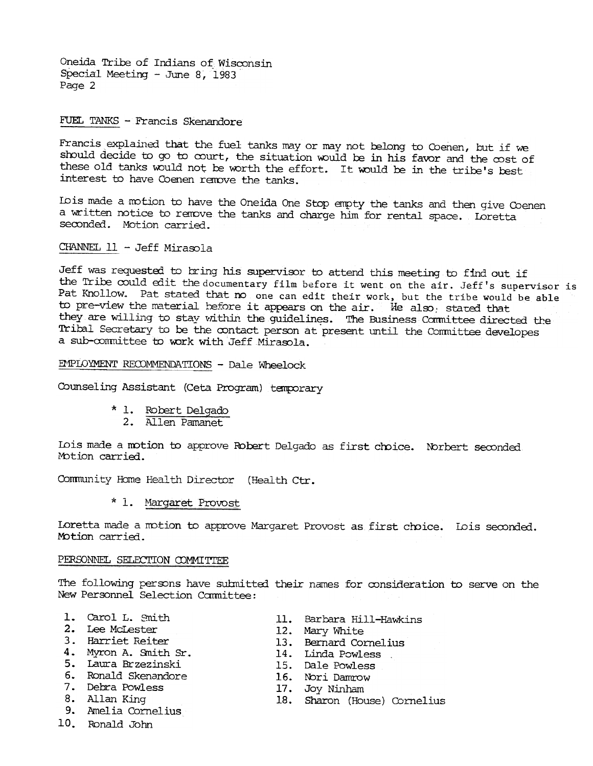Oneida Tribe of Indians of Wisconsin Special Meeting - June 8, 1983 Page 2

FUEL TANKS - Francis Skenandore

Francis explained that the fuel tanks may or may not belong to Coenen, but if we should decide to go to court, the situation would be in his favor and the cost of these old tanks would not be worth the effort. It would be in the tribe's best interest to have Coenen remove the tanks.

Io is made a motion to have the Oneida One Stop empty the tanks and then give Coenen a written notice to remove the tanks and charge him for rental space. Loretta seconded. Motion carried.

CHANNEL 11 - Jeff Mirasola

Jeff was requested to bring his supervisor to attend this meeting to find out if the Tribe could edit the documentary film before it went on the air. Jeff's supervisor is Pat Knollow. Pat stated that no one can edit their work, but the tribe would be able to pre-view the material before it appears on the air. We also, stated that they are willing to stay within the quidelines. The Business Committee directed the Tribal Secretary to be the contact person at present until the Committee developes a sub-committee to work with Jeff Mirasola.

EMPLOYMENT RECOMMENDATIONS - Dale Wheelock

Counseling Assistant (Ceta Program) temporary

- \* 1. Robert Delgado
	- 2. Allen Pamanet

Lois made a motion to approve Robert Delgado as first choice. Norbert seconded Motion carried.

Community Home Health Director (Health Ctr.

\* 1. Margaret Provost

Loretta made a motion to approve Margaret Provost as first choice. Lois seconded. Motion carried.

## PERSONNEL SELECTION COMMITTEE

The following persons have submitted their names for consideration to serve on the New Personnel Selection Cannittee:

- 1. Carol L. Smith
- 2. Lee McLester
- 3. Harriet Reiter
- 4. Myron A. Smith Sr.
- 5. Laura Brzezinski
- 6. Ronald Skenandore
- 7. Debra Powless
- 8. Allan King
- 9. Amelia Cornelius
- 10. Ronald John
- 11. Barbara Hill-Hawkins
- 12. Mary White
- 13. Bernard Cornelius
- 14. Linda Powless
- 15. Dale Powless
- 16. Nori Damrow
- 17. Joy Ninham
- 18. Sharon (House) Cornelius